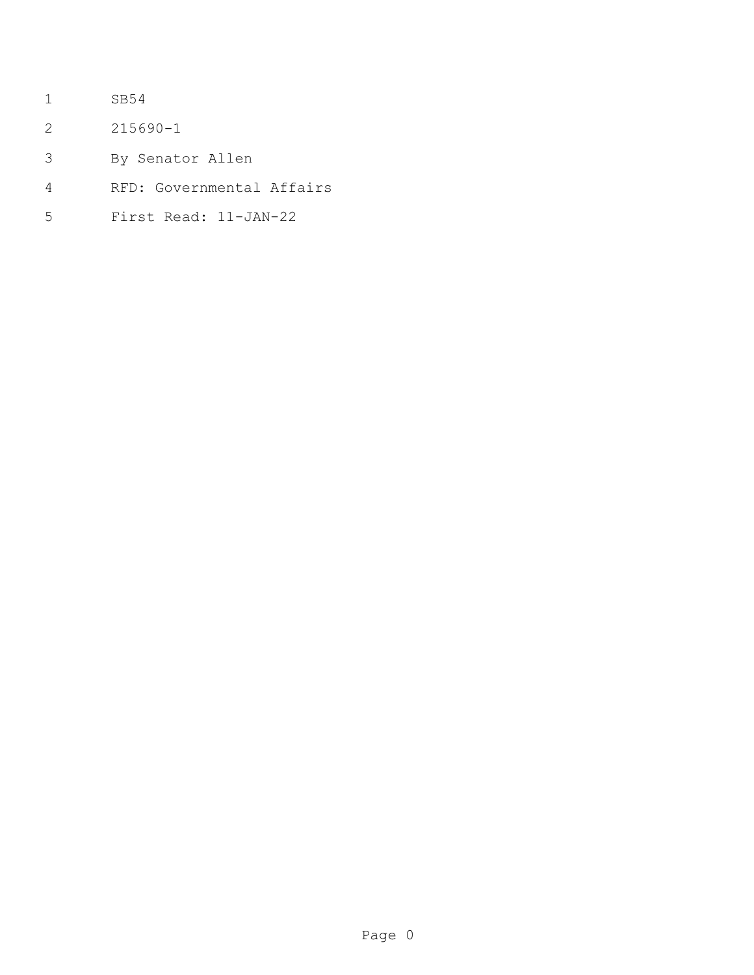- SB54
- 215690-1
- By Senator Allen
- RFD: Governmental Affairs
- First Read: 11-JAN-22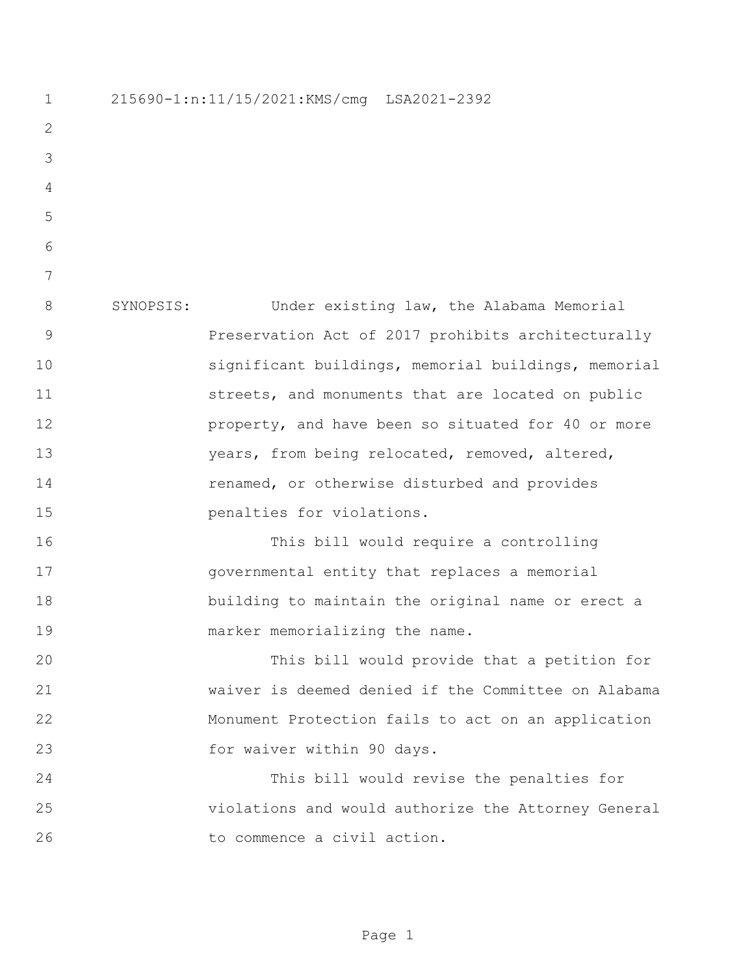215690-1:n:11/15/2021:KMS/cmg LSA2021-2392 SYNOPSIS: Under existing law, the Alabama Memorial Preservation Act of 2017 prohibits architecturally significant buildings, memorial buildings, memorial 11 streets, and monuments that are located on public **property**, and have been so situated for 40 or more years, from being relocated, removed, altered, renamed, or otherwise disturbed and provides **penalties** for violations. This bill would require a controlling governmental entity that replaces a memorial building to maintain the original name or erect a 19 marker memorializing the name. This bill would provide that a petition for waiver is deemed denied if the Committee on Alabama Monument Protection fails to act on an application 23 for waiver within 90 days. This bill would revise the penalties for violations and would authorize the Attorney General to commence a civil action.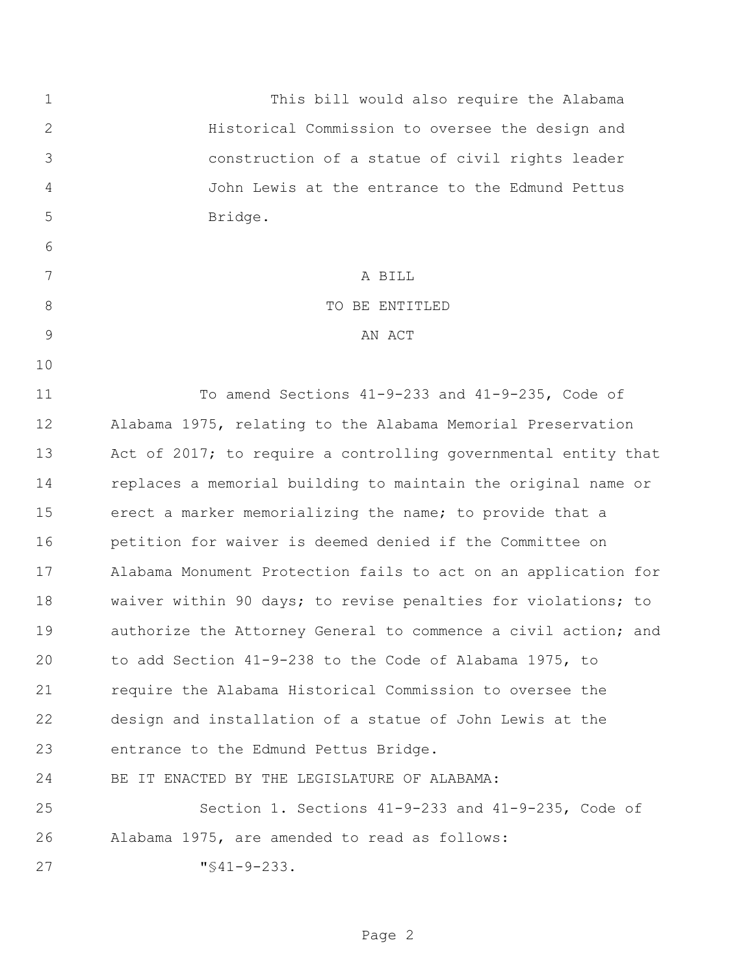This bill would also require the Alabama Historical Commission to oversee the design and construction of a statue of civil rights leader John Lewis at the entrance to the Edmund Pettus Bridge. A BILL 8 STRIP TO BE ENTITLED 9 AN ACT To amend Sections 41-9-233 and 41-9-235, Code of Alabama 1975, relating to the Alabama Memorial Preservation Act of 2017; to require a controlling governmental entity that replaces a memorial building to maintain the original name or erect a marker memorializing the name; to provide that a petition for waiver is deemed denied if the Committee on Alabama Monument Protection fails to act on an application for waiver within 90 days; to revise penalties for violations; to authorize the Attorney General to commence a civil action; and to add Section 41-9-238 to the Code of Alabama 1975, to require the Alabama Historical Commission to oversee the design and installation of a statue of John Lewis at the entrance to the Edmund Pettus Bridge. BE IT ENACTED BY THE LEGISLATURE OF ALABAMA: Section 1. Sections 41-9-233 and 41-9-235, Code of Alabama 1975, are amended to read as follows: "§41-9-233.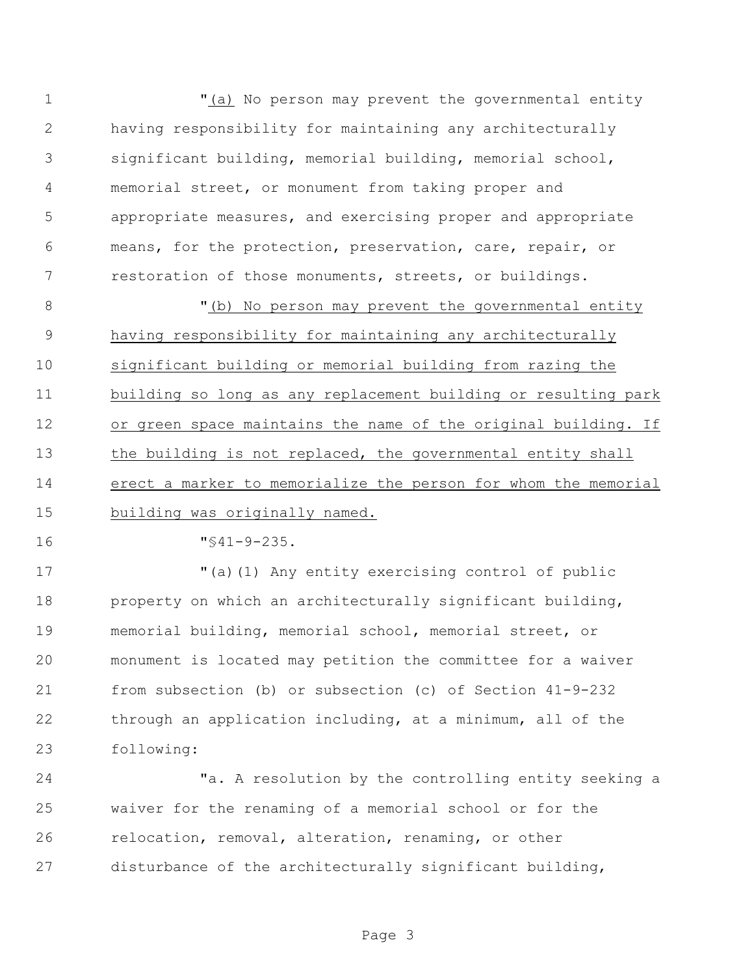"(a) No person may prevent the governmental entity having responsibility for maintaining any architecturally significant building, memorial building, memorial school, memorial street, or monument from taking proper and appropriate measures, and exercising proper and appropriate means, for the protection, preservation, care, repair, or restoration of those monuments, streets, or buildings.

8 "(b) No person may prevent the governmental entity having responsibility for maintaining any architecturally significant building or memorial building from razing the building so long as any replacement building or resulting park or green space maintains the name of the original building. If 13 the building is not replaced, the governmental entity shall erect a marker to memorialize the person for whom the memorial building was originally named.

"§41-9-235.

 "(a)(1) Any entity exercising control of public property on which an architecturally significant building, memorial building, memorial school, memorial street, or monument is located may petition the committee for a waiver from subsection (b) or subsection (c) of Section 41-9-232 through an application including, at a minimum, all of the following:

 "a. A resolution by the controlling entity seeking a waiver for the renaming of a memorial school or for the relocation, removal, alteration, renaming, or other disturbance of the architecturally significant building,

Page 3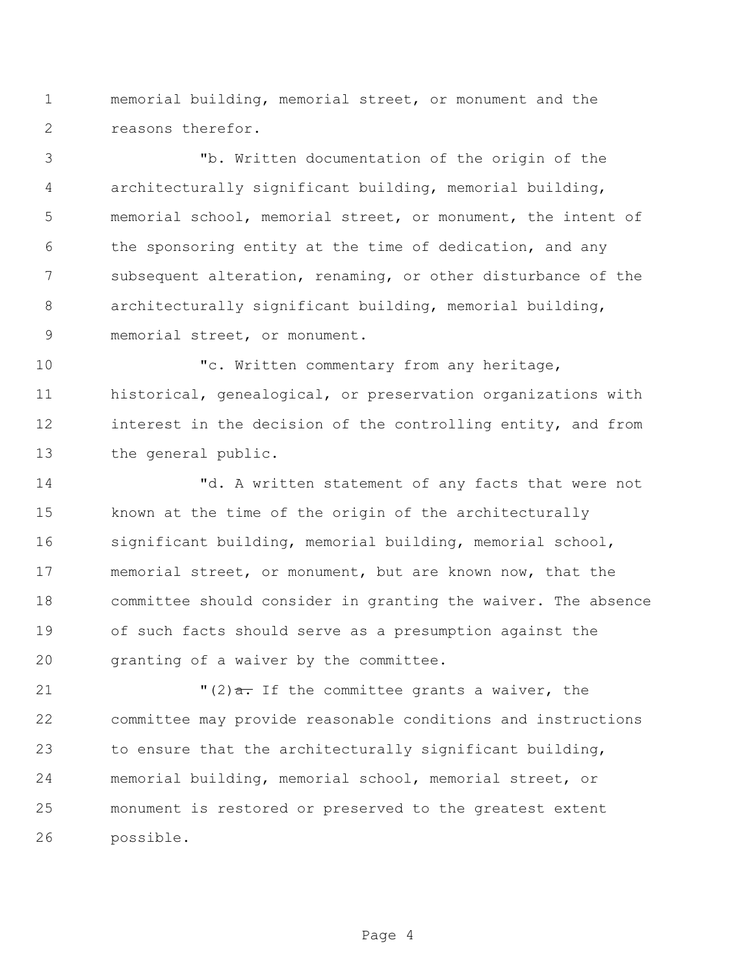memorial building, memorial street, or monument and the reasons therefor.

 "b. Written documentation of the origin of the architecturally significant building, memorial building, memorial school, memorial street, or monument, the intent of the sponsoring entity at the time of dedication, and any subsequent alteration, renaming, or other disturbance of the architecturally significant building, memorial building, memorial street, or monument.

10 The Mritten commentary from any heritage, historical, genealogical, or preservation organizations with 12 interest in the decision of the controlling entity, and from the general public.

 "d. A written statement of any facts that were not known at the time of the origin of the architecturally significant building, memorial building, memorial school, memorial street, or monument, but are known now, that the committee should consider in granting the waiver. The absence of such facts should serve as a presumption against the granting of a waiver by the committee.

 $(2)$   $\frac{1}{2}$   $(2)$   $\frac{1}{2}$  The committee grants a waiver, the committee may provide reasonable conditions and instructions to ensure that the architecturally significant building, memorial building, memorial school, memorial street, or monument is restored or preserved to the greatest extent possible.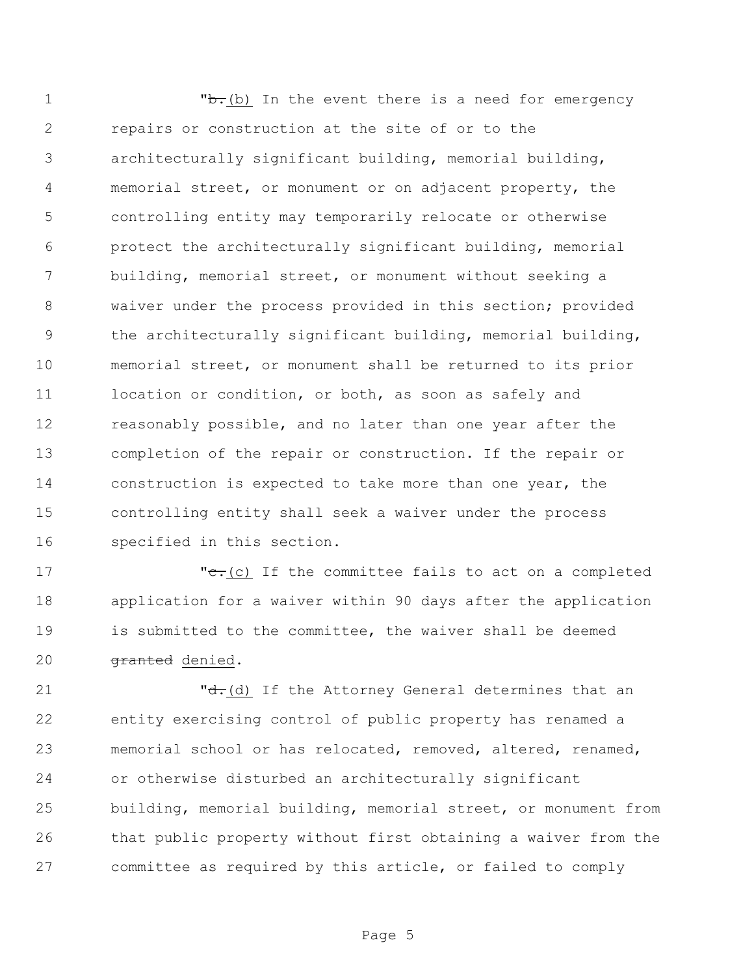**b.**(b) In the event there is a need for emergency repairs or construction at the site of or to the architecturally significant building, memorial building, memorial street, or monument or on adjacent property, the controlling entity may temporarily relocate or otherwise protect the architecturally significant building, memorial building, memorial street, or monument without seeking a waiver under the process provided in this section; provided the architecturally significant building, memorial building, memorial street, or monument shall be returned to its prior 11 location or condition, or both, as soon as safely and reasonably possible, and no later than one year after the completion of the repair or construction. If the repair or construction is expected to take more than one year, the controlling entity shall seek a waiver under the process specified in this section.

 $\cdot$   $\cdot$   $\cdot$   $\cdot$   $\cdot$  (c) If the committee fails to act on a completed application for a waiver within 90 days after the application is submitted to the committee, the waiver shall be deemed 20 <del>granted</del> denied.

 $\mathbf{d} \cdot (\mathbf{d})$  If the Attorney General determines that an entity exercising control of public property has renamed a memorial school or has relocated, removed, altered, renamed, or otherwise disturbed an architecturally significant building, memorial building, memorial street, or monument from that public property without first obtaining a waiver from the committee as required by this article, or failed to comply

Page 5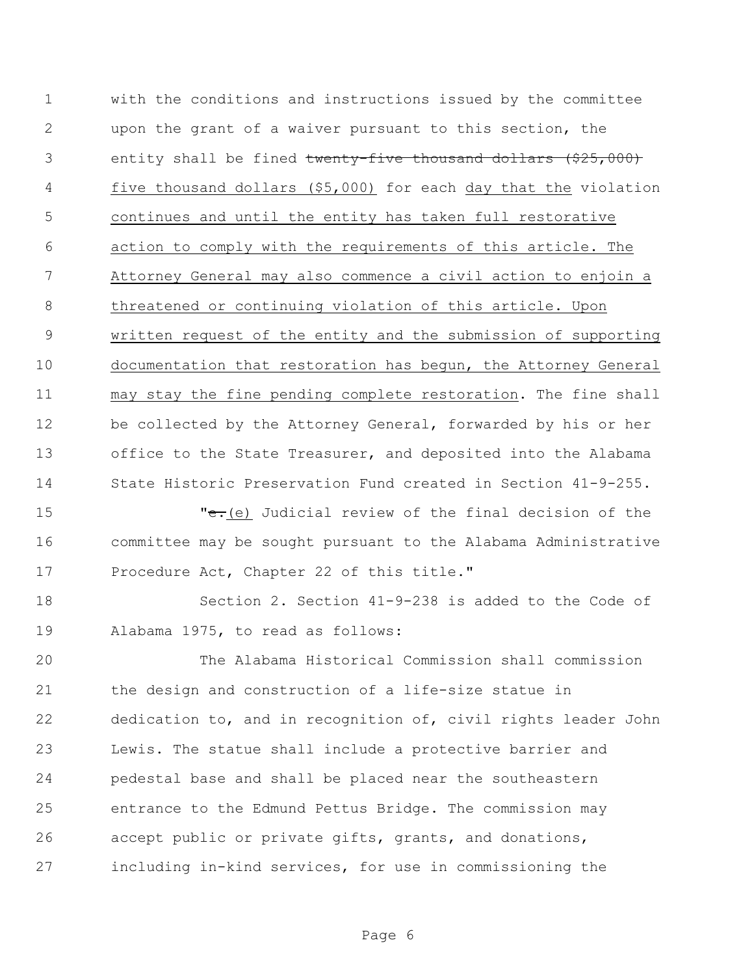with the conditions and instructions issued by the committee upon the grant of a waiver pursuant to this section, the 3 entity shall be fined twenty-five thousand dollars (\$25,000) five thousand dollars (\$5,000) for each day that the violation continues and until the entity has taken full restorative action to comply with the requirements of this article. The Attorney General may also commence a civil action to enjoin a threatened or continuing violation of this article. Upon written request of the entity and the submission of supporting documentation that restoration has begun, the Attorney General may stay the fine pending complete restoration. The fine shall be collected by the Attorney General, forwarded by his or her office to the State Treasurer, and deposited into the Alabama State Historic Preservation Fund created in Section 41-9-255.

15 The state of the final decision of the final decision of the state of the state of the state of the state of the state of the state of the state of the state of the state of the state of the state of the state of the st committee may be sought pursuant to the Alabama Administrative Procedure Act, Chapter 22 of this title."

 Section 2. Section 41-9-238 is added to the Code of Alabama 1975, to read as follows:

 The Alabama Historical Commission shall commission the design and construction of a life-size statue in dedication to, and in recognition of, civil rights leader John Lewis. The statue shall include a protective barrier and pedestal base and shall be placed near the southeastern entrance to the Edmund Pettus Bridge. The commission may accept public or private gifts, grants, and donations, including in-kind services, for use in commissioning the

Page 6